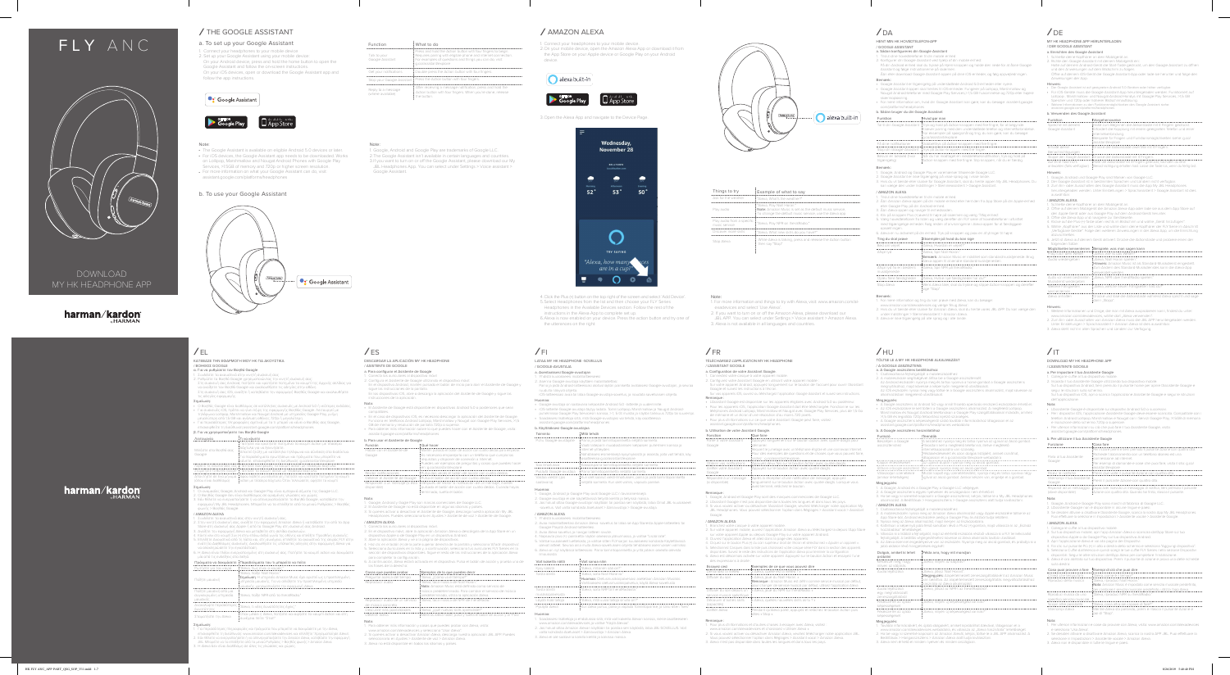DOWNLOAD MY HK HEADPHONE APP

# harman/kardon

# harman/kardon

# FLY ANC



# THE GOOGLE ASSISTANT AMAZON ALEXA

# a. To set up your Google Assistant

. Connect your headphones to your mobile device 2. Set up your Google Assistant using your mobile device: On your Android device, press and hold the home button to open the Google Assistant and follow the on-screen instructions. On your iOS devices, open or download the Google Assistant app and follow the app instructions.

## • Google Assistant



 $\angle$  EL

**Note:**<br>• The Google Assistant is available on eligible Android 5.0 devices or later. • For iOS devices, the Google Assistant app needs to be downloaded. Works on Lollipop, Marshmallow and Nougat Android Phones with Google Play Services, >1.5GB of memory and 720p or higher screen resolution.

• For more information on what your Google Assistant can do, visit: assistant.google.com/platforms/headphones

### Talk to your Google Assistant Press and hold the Action button with four fingers to begin.<br>Requires pairing with eligible phone and internet connection.<br>For examples of questions and things you can do, visit:<br>g.co/assistant/explore Double press the Action button with four fingers. Press the Action button with four fingers. After receiving a message notification, press and hold the Action button with four fingers. When you're done, release the button. Get your notifications Stop your Google Assista Reply to a message (where available) What to do



 $\bigcirc$  alexa built-in

### b. To use your Google Assistant



Note: 1. Google, Android and Google Play are trademarks of Google LLC. 2. The Google Assistant isn't available in certain languages and countries. 3. If you want to turn on or off the Google Assistant, please download our My JBL Headphones App. You can select under Settings > Voice assistant >

> 4. Click the Plus (+) button on the top right of the screen and select 'Add Devio 5. Select Headphones from the list and then choose your FLY Series Headphones in the Available Devices section. Follow the rest of the

Google Assistant.

2. On your mobile device, open the Amazon Alexa App or download it from the App Store on your Apple device or Google Play on your Android



- **Note:**<br>1. For more information and things to try with Alexa, visit: www.amazon.com/al-
- exadevices and select 'Use Alexa'. 2. If you want to turn on or off the Amazon Alexa, please download our
- JBL APP. You can select under Settings > Voice assistant > Amazon Alexa. 3. Alexa is not available in all languages and countries.

# $\sqrt{FR}$

device.

3. Open the Alexa App and navigate to the Device Page.

1. Connect your headphones to your mobile device.

- 
- 
- 1. Tillslut dine hovedtelefoner til din mobile enhed<br>2. Konfigurer din Google Assistant ved hjælp af din mobile enhed:<br>På din Android-enhed skal du trykke på Hjem-knappen og holde den nede for at åbne Google<br>Assistant og f
- Bemærk:
- Google Assistant er tilgængelig på understøttede Android 5.0-enheder eller nyere.<br>• Google Assistant-appen skal hentes til iOS-enheder. Fungerer på Lollipop, Marshmallow og<br>• Nougat Android-telefoner med Google Play Ser
- skærmopløsning. For mere information om, hvad din Google Assistant kan gøre, kan du besøge: assistent.google.
- com/platforms/headphones b. Sådan bruger du din Google Assistant

- instructions in the Alexa App to complete set up.
- 6. Alexa is now enabled on your device. Press the action button and try one of the utterances on the right:

# $\sqrt{F}$

| Things to try                               | Example of what to say                                                                                                                          |
|---------------------------------------------|-------------------------------------------------------------------------------------------------------------------------------------------------|
| Ask for the weather                         | "Alexa. What's the weather?"                                                                                                                    |
| Play audio                                  | "Alexa, Play Niall Horan."<br>Note: Amazon Music is set as the default music service.<br>To change the default music service, use the Alexa app |
| Play audio from a specific<br>music service | "Alexa, Play NPR on IheratRadio."                                                                                                               |
| Discover more skills                        | "Alexa, What new skills do you have?"                                                                                                           |
| Stop Alexa                                  | While Alexa is talking, press and release the Action button<br>then say "Stop"                                                                  |

HENT MIN HK HOVEDTELEFON-APP / GOOGLE ASSISTANT a. Sådan konfigureres din Google Assistant

Halte zum Beginnen die Aktionstaste mit 4 Fingern gedrückt. Erfordert die Kopplung mit einem geeigneten Telefon und einer Internetverbindung. Beispiele für Fragen und Funktionsmöglichkeiten siehe: g.co/ assistant/explore Drücke die Aktionstaste zwei Mal mit 4 Fingern. Enhalte delne<br>Eenachrichtigungen<br>Stoppe den Google Assistant : Drücke die Aktionstaate mit 4 Finger<br>Stoppe den Google Assistant : Drücke die Aktionstaate mit 4 Finger<br>Auf eine Nechricht<br>antworten (falls verfügbar) : "Hate

| Funktion                               | : Hvad gør man                                                                                                                                                                                                                                                         |
|----------------------------------------|------------------------------------------------------------------------------------------------------------------------------------------------------------------------------------------------------------------------------------------------------------------------|
|                                        | Tal til din Google Assistant : Tryk og hold på Action-knappen med fire fingre, for at begynde.<br>Kræver parring med den understøttede telefon og internetforbindelse.<br>'For eksempler på spørgsmål og ting, du kan gøre, kan du besøge:<br>: g.co/assistant/explore |
| Få dine notifikationer                 | : Dobbelttryk på Action-knappen med fire fingre.                                                                                                                                                                                                                       |
|                                        | Stop din Google Assistant : Tryk på Action-knappen med fire fingre.                                                                                                                                                                                                    |
| Besvar en besked (hvor<br>tilgængelig) | Når du har modtaget en meddelelsesnotifikation, tryk og hold på<br>: Action-knappen med fire fingre. Slip knappen, når du er færdig.                                                                                                                                   |
| Domestic                               |                                                                                                                                                                                                                                                                        |

- 
- 
- **Bemærk:**<br>1. Google, Android og Google Play er varemærker tilhørende Google LLC.<br>2. Google Assistant er ikke tilgængelig på visse sprog og i visse lande.<br>3. Hvis du vil tænde eller slukke for Google Assistant, skal du hent

- / AMAZON ALEXA<br>
1. Tislut dine hovedtelefoner til din mobile enhed.<br>
1. Tislut dine hovedtelefoner til din mobile enhed eller hent den fra App Store på din Apple-enhed<br>
2. Åbn Amazon Alexa-appen på din mobile enhed<br>
eller
- 
- 
- 
- 6. Alexa er nu aktiveret på din enhed. Tryk på knappen og prøv en af ytringer til højre:
- Ting du skal prøve etter i Eksempler på hvad du kan sige

| Bed om vejret                              | : "Alexa, Hvordan er veiret?"                                                                                                                         |
|--------------------------------------------|-------------------------------------------------------------------------------------------------------------------------------------------------------|
| Afspil lyd                                 | : "Alexa, Spil Niall Horan."<br>Bemærk: Amazon Music er indstillet som standardmusiktjeneste. Brug<br>Alexa-appen til at ændre standardmusiktjenesten |
| Afspil lyd fra en bestemt<br>musiktjeneste | : "Alexa, Spil NPR på IheratRadio."                                                                                                                   |
| Oplev flere færdigheder                    | : "Alexa, Hvilke nye færdigheder har du?"                                                                                                             |
| Stop Alexa                                 | Mens Alexa taler, skal du trykke og slippe Action-knappen og derefter<br>sige "Stop"                                                                  |

- **Bemærk:**<br>1. For mere information og ting du kan prøve med Alexa, kan du besøge:<br>1. www.amazon.com/alexadevices og vælge "Brug Alexa".<br>2. Hvis du vil tænde eller slukke for Amazon Alexa, skal du hente vores JBL APP. Du kan
- 
- 
- 

# $/$ HU

- 
- 
- 1. Συνδέστε τα ακουστικά αας στην κινητή συσκευή σας.<br>2. Στην κινητή συσκευή σας, ανοίξτε την εφαρμογή Amazon Alexa ή κατεβάστε την από το App<br>- Store στη συσκευή σας Apple ή από το Google Play στη συσκευή σας Android.<br>3.
- 6. Η Alexa είναι πλέον ενεργοποιημένη στη συσκευή σας. Πατήστε το κουμπί action και δοκιμάστε μία από τις ενδείξεις στα δεξιά:

## MY HK HEADPHONE APP HERUNTERLADEN

- / DER GOOGLE ASSISTANT<br>a. Einrichten des Google Assistant
- 
- 
- a. Einrichten des Google Assistant<br>
2. Richlefte deine Kopflie Assistant mit delnem Mobilgerät an.<br>
2. Richte den Google Assistant mit delnem Mobilgerät ein:<br>
4. Halte auf deinen Android-Gerät die Start-Taste gedrückt, um

b. Verwenden des Google Assistant Funktion Vorgehensweise Spreche mit deinem

Google Assistant

- 
- 1. Google, Android et Google Play sont des marques commerciales de Google LLC.<br>2. L'Assistant Google n'est pas disponible dans toutes les langues et dans tous les pays.<br>3. Si vous voulez activer ou désactiver l'Assistant G
- Google.

- 
- 
- / AMAZON ALEXA<br>1. Branchez votre casque à votre appareil mobile.<br>2. Sur votre appareil mobile, ouvrez l'application Amazon Alexa ou téléchargez-la depuis l'App Store<br>- sur votre appareil Apple ou depuis Google Play sur vot
- 4. Cliquez sur le bouton Plus (+) du coin supérieur droit de l'écran et sélectionnez « Ajouter un appareil ».
- 
- 5. Sélectionnez Casques dans la liste puis choisissez votre casque série FLY dans la section des apparelis<br>disponibles. Suivez le reste des instructions de l'application Alexa pour terminer la configuration<br>6. Alexa est dé

/ AMAZON ALEXA

 $I$ 

Möglichkeiten kennenlernen Beispiele, was man sagen kann

Frag nach dem Wetter "Alexa, wie ist das Wetter?" Audio wiedergeben "Alexa, Niall Horan spielen." Hinweis: Amazon Music ist als Standard-Musikdienst eingestellt.

verwendet werden. "Alexa, NPR über IheratRadio spielen."

Alexa anhalten [Drücke und löse die Aktionstaste während Alexa spricht und sage<br>dann "Stopp".

Hinweis:<br>1. Weitere Informationen und Dinge, die man mit Alexa ausprobieren kann, findest du unter:<br>2. Zum Ein- oder Ausschalten von Amazon Alexa weiwenden".<br>2. Zum Ein- oder Ausschalten von Amazon Alexa muss die JBL APP h

Audio von einem bestimmten Musikdienst wiedergeben Weitere Fähigkeiten kennenlernen "Alexa, welche neuen Fähigkeiten hast du?"

1. Collega le cuffie al tuo dispositivo mobile.<br>2. Imposta il tuo Assistente Google utilizzando tuo dispositivo mobile

**Nota:**<br>1. Google, Android y Gogle Play son marcas comerciales de Google LLC.<br>2. El Asistente de Google no está disponible en algunos idiomas y países.<br>3. Si quieres activar o desactivar el Asistente de Google, descarga nu Headphones. Puedes seleccionarlo en Ajustes > Asistente de voz > Asistente de Google.

/ ΒΟΗΘΟΣ GOOGLE α. Για να ρυθμίσετε τον Βοηθό Google

- 2. Ο Βοηθός Google δεν είναι διαθέσιμος σε ορισμένες γλώσσες και χώρες.<br>- ειδν θέλετε να ενεργοποιήσετε ή να απενεργοποιήσετε το Bonθό Google, κατεβάστε την<br>- εφαρμογή My JBL Headphones. Μπορείτε να το επιλέξετε από το με
- AMAZON ALEXA<br>. Συνδέστε τα ακουστικά σας στην κινητή συσκευή σας.

### Nota: Para obtener más información y cosas que puedes probar con Alexa, visita:

www.amazon.com/alexadevices y selecciona "Usar Alexa".<br>2. Si quieres activar o desactivar Amazon Alexa, descarga nuestra aplicación JBL APP. Puedes<br>seleccionarlo en Ajustes > Asistente de voz > Amazon Alexa.<br>3. Alexa no es

Toiminto Mitä tehdä

1. Google, Android ja Google Play ovat Google LLC:n tavaramerkkejä.<br>2. Google-avustaja ei ole käytettävissä tietyillä kielillä ja tietyissä maissa.<br>3. Jos haluat ottaa Google-avustajan käyttöön tai poistaa sen käytöstä,

Σημείωση: • Ο Βοηθός Google είναι διαθέσιμος σε κατάλληλες συσκευές με Android 5.0 ή νεότερες εκδόσεις.

• Για συσκευές ΙΟS, πρέπει να γίνει λήψη της εφαρμογής Bonθός Google. Λειτουργεί με<br>- τηλέφωνα Lollipop, Marshmallow και Νουgat Αndroid με υπηρεσίες Google Play, μνήμη<br>- Για περισσότερες πληροφορίες σχετικά με το τι μπορε

- 
- **Σημείωση:**<br>1. Οι ονομασίες Google, Android και Google Play είναι εμπορικά σήματα της Google LLC.

ΚΑΤΕΒΑΣΕ ΤΗΝ ΕΦΑΡΜΟΓΗ ΜΟΥ ΗΚ ΓΙΑ ΑΚΟΥΣΤΙΚΑ<br>/ ΒΟΗΘΟΣ GOOGLE

Μιλήστε στο Βοηθό σας Google

**Megjegyzés:**<br>1. A Google, Android és a Google Play a Google LLC védjegyel.<br>2. A Google asszisztens egyes nyelveken és országokban nem érhető el.<br>3. Ha be vagy ki szeretné kapcsolni a Google asszisztenst, kérjük, töltse l alkalmazást. A Beállítások > Hangasszisztens > Google asszisztens alatt tudja kiválasztani. / AMAZON ALEXA

- 1. Castilakoztassa feljhallgatóját a mobileszközénez.<br>2. A mobileszközén nyissa meg az Amazon Alexa alkalmazást vagy Apple eszközére töltse le az<br>2. App Store-ból, Android eszközére pedig a Google Play áruházból tudja letö
- 
- 
- fejhallgatóját. A beállítás véglegesítéséhez kövesse az Alexa alkalmazás további utasításait.<br>6. Az Alexa ezennel engedélyezve van az eszközén. Nyomja meg az akció gombot, és próbálja ki a<br>– jobb oldalon lévő hangjelzése
- 

### Dolgok, amiket ki lehet Példa arra, hogy mit mondjon próbálni Kérdezze meg, hogy milyen az időjárás ..............................<br>Alexa, milyen az időjárás?" Audio lejátszása "Alexa, játssz Niall Horant". Megjegyzés: Alapértelmezett zeneszolgáltatásként az Amazon Music van beállítva. Az alapértelmezett zeneszolgáltatás megváltoztatásához használja az Alexa alkalmazást. "Alexa, játszd az NPR-t az IheartRadióról". Audio lejátszása egy meghatározott zeneszolgáltatóró

1. Yhdistä kuulokkeesi mobiililaitteeseesi<br>2. Asenna Google-avustaja käyttäen mobiililaitettasi: Paina ja pidä Android-laitteessasi aloitusnäytön painiketta avataksesi Google-avustajan, ja seuraa ruudulla näkyviä ohjeita.

## Πράγματα να δοκιμάσετε Παραδείγματα του τι μπορείτε να πείτε

| Ρωτήστε για τον καιρό                                       | : "Alexa, πως είναι ο καιρός;"                                                                                                                                                                                                           |
|-------------------------------------------------------------|------------------------------------------------------------------------------------------------------------------------------------------------------------------------------------------------------------------------------------------|
| Παίξτε μουσική                                              | <sup>1</sup> "Alexa, παίξε Niall Horan."<br><b>Σημείωση:</b> Η υπηρεσία Amazon Music έχει οριστεί ως η προεπιλεγμένη<br>, υπηρεσία μουσικής. Για να αλλάξετε την προεπιλεγμένη υπηρεσία<br>Ι μουσικής, χρησιμοποιήστε την εφαρμογή Alexa |
| Παίξτε μουσική από μια<br>συγκεκριμένη υπηρεσία<br>μουσικής | l'''Alexa, παίξε NPR από το IheratRadio."                                                                                                                                                                                                |
| δυνατότητες                                                 |                                                                                                                                                                                                                                          |
| Σταματήστε την Alexa                                        | "Όταν μιλάει η Alexa, πατήστε και αφήστε το κουμπί Action και στη<br>' συνέχεια πείτε "Στοπ"                                                                                                                                             |
| <b>Snugiuan</b>                                             |                                                                                                                                                                                                                                          |

### Σημείωση:

1. Για περισσότερες πληροφορίες και πράγματα που μπορείτε να δοκιμάσετε με την Alexa, - επισκεφθείτε τη διεύθυνση: www.amazon.com/alexadevices και επιλέξτε "Χρησιμοποίησε Alexa".<br>2. Εάν θέλετε να ενεργοποιήσετε ή να απενεργοποιήσετε την Amazon Alexa, κατεβάστε την εφαρμογή<br>- JBL. Μπορείτε να το επιλέξετε α /ES

### TÉLÉCHARGEZ L'APPLICATION MY HK HEADPHONE

### / L'ASSISTANT GOOGLE

- a. Configuration de votre Assistant Google.
- 1. Connectez votre casque à votre appareil mobile.<br>2. Configurez votre Assistant Google en utilisant votre appareil mobile :
- Sur votre appareil Android, appuyez longuement sur le bouton de l'ac
- Google et suivez les instructions à l'écran. Sur vos appareils iOS, ouvrez ou téléchargez l'application Google Assistant et suivez ses instructions. Remarque :

- 
- L'Assistant Google est disponible sur les apparells éligibles avec Android 5.0 ou postérieur.<br>• Pour les apparells iOS, l'application Google Asssitant doit être téléchargée. Fonctionne sur les<br>téléphones Android Lollipop
- Pour plus d'informations sur ce que votre Assistant Google peut faire, visite

b. Per utilizzare il tuo Assistente Google Funzione Cosa fare<br>Cosa fare

Himwels:<br>
• Der Google Assistant ist auf geeigneten Android 5.0-Geräten oder höher verfügbar.<br>
• Für iOS-Geräte muss die Google Assistant-App heruntergeladen werden. Funktioniert au<br>
Lollipop-, Marshmallow- und Nougat-Andr

**Hinweis:**<br>1. Google, Android und Google Play sind Marken von Google LLC.<br>2. Der Google Assistant ist in bestimmten Sprachen und Ländern nicht verfügbar.<br>3. Zum Ein- oder Ausschalten des Google Assistant muss die App My JB

1. Schileße deine Kopfhörer an dein Mobilgerät an.<br>2. Öffne auf delem Mobilgerät die Amazon Alexa-App oder lade sie aus dem App Store auf den Apple-Gerät oder aus Google Play auf dein Android-Gerät herunter.<br>3. Öffne die A

### assistant.google.com/platforms/headphones. b. Utilisation de votre Assistant Google.

# β. Για να χρησιμοποιήσετε τον Βοηθό Google Λειτουργία Τι να κάνετε Πατήστε και κρατήστε πατημένο το κουμπί Action με τέσσερα δάχτυλα για να ξεκινήσετε. Απαιτεί ζεύξη με κατάλληλο τηλέφωνο και σύνδεση στο διαδίκτυο. Για παραδείγματα ερωτήσεων και πράγματα που μπορείτε να κάνετε, επισκεφθείτε τη διεύθυνση: g.co/assistant/explore Λάβετε τις ειδοποιήσεις σας Πατήστε δύο φορές το κουμπί action με τέσσερα δάχτυλα. Σταματήστε το Βοηθό Google Πατήστε το κουμπί action με τέσσερα δάχτυλα. Απαντήστε σε ένα μήνυμα (όπου είναι διαθέσιμο) Αφού λάβετε μια ειδοποίηση, πατήστε και κρατήστε πατημένο το κουμπί action με τέσσερα δάχτυλα. Όταν τελειώσετε, αφήστε το κουμπί. b. Para usar el Asistente de Google<br>Función \_\_\_\_\_\_\_\_\_\_\_\_\_\_\_\_\_\_\_\_\_\_\_\_\_\_.Qué hacer Hablar con el Asistente de Google

1. Συνδέστε τα ακουστικά στην κινητή συσκευή σας<br>2. Ρυθμίστε το Bonβό Google χρησιμοποιώντας την κινητή συσκευή σας:<br>- Στη συσκευή σας Android, πατήστε και κρατήστε πατημένο το κουμπί της Αρχικής σελίδας για<br>- Στη συσκευή

Fonction Que faire

| Parler à votre Assistant<br>Google       | Appuyez longuement sur le bouton Action avec quatre doigts pour<br>ldémarrer.                                                                                                             |
|------------------------------------------|-------------------------------------------------------------------------------------------------------------------------------------------------------------------------------------------|
|                                          | Requiert le jumelage avec un téléphone éligible et une connexion Internet.<br>: Pour des exemples de questions et de choses que vous pouvez faire,<br>: visitez : g.co/assistant/explore. |
| Obtenir vos notifications                | Appuyez deux fois sur le bouton Action avec quatre doigts.                                                                                                                                |
| Arrêter votre Assistant<br>Google        | 'Appuyez sur le bouton Action avec quatre doigts.                                                                                                                                         |
| Répondre à un message<br>(si disponible) | Après la réception d'une notification de message, appuyez<br>Ionquement sur le bouton Action avec quatre doigts. Lorsque vous<br>l'avez terminé, relâchez le bouton.                      |

Chiedi che tempo farà "Alexa, come è il tempo?" Riproduci della musica "Alexa, riproduci Niall Horan." Nota: Amazon Music è impostato come servizio musicale predefinito, per cambiare il servizio musicale predefinito, utilizza l'app Alexa Riproduci musica da uno "Alexa, riproduci NPR su IheratRadio." specifico servizio musicale<br>Scopri altre possibilità "Alexa, cosa altro sei capace di fare?"<br>"Mentre Alexa sta parlando, premi e rilascia il pulsante Azione e<br>"Mentre Alexa" [poi di "Stop".

**Nota:**<br>
2. Se relacioni informazioni e cose da provare con Alexa, visita: www.amazon.com/alexadevices<br>
2. Se desideri attivare o disattivare Amazon Alexa, scarica la nostra APP JBL. Puol effettuare la<br>
3. Se desideri in I

### Remarque :

| des expressions à droite :                              |                                                                                                                                                                                               |
|---------------------------------------------------------|-----------------------------------------------------------------------------------------------------------------------------------------------------------------------------------------------|
| Essayez ceci                                            | : Exemples de ce que vous pouvez dire                                                                                                                                                         |
| Demandez la météo                                       | : Alexa, quelle est la météo ? »                                                                                                                                                              |
| Diffuser du son                                         | « Alexa, joue du Niall Horan. »                                                                                                                                                               |
| Diffuser du son depuis un<br>service musical spécifique | Remarque : Amazon Music est défini comme service musical par défaut,<br>: pour changer de service musical par défaut, utilisez l'application Alexa<br>* Alexa, joue du NPR sur lheratRadio. » |
| Découvrir d'autres skills<br>(capacités)                | * Alexa, quelles nouvelles skills as-tu ? »                                                                                                                                                   |
| Arrêter Alexa                                           | Pendant qu'Alexa parle, appuyez et relâchez le bouton Action puis<br>¦dites « Stop ».                                                                                                         |
|                                                         |                                                                                                                                                                                               |

### Remarque :

- 1. Pour plus d'informations et d'autres choses à essayer avec Alexa, visitez :
- www.amazon.com/alexadevices et choisissez « Utiliser Alexa ».
- 2. Si vous voulez activer ou désactiver Amazon Alexa, veuillez télécharger notre application JBL. Vous pouvez sélectionner l'option dans Réglages > Assistant vocal > Amazon Alexa. 3. Alexa n'est pas disponible dans toutes les langues et dans tous les pays.

# **/** DA<br>HENT MIN HK HOVEDTELEFON-APP

### DESCARGAR LA APLICACIÓN MY HK HEADPHONE

# / ASISTENTE DE GOOGLE

- a. Para configurar el Asistente de Google
- 1. Conecta los auriculares al dispositivo móvil 2. Configura el Asistente de Google utilizando el dispositivo móvil: positivo Android, mantén pulsado el botón de inicio para al
- sigue las instrucciones de la pantalla. En los dispositivos iOS, abre o descarga la aplicación del Asistente de Google y sigue las instrucciones de la aplicación. Nota:
- El Asistente de Google está disponible en dispositivos Android 5.0 o posteriores que sean
- compatibles.<br>• En el caso de dispositivos IOS, es necesario descargar la aplicación del Asistente de Google.<br>• Eurciona en teléfonos Android Lollipop, Marshmallow y Nougat con Google Play Services, >1,5<br>• GB de memoria y r
- assistant.google.com/platforms/headphones

| .                                              |                                                                                                                                                                                                                                                                            |   |
|------------------------------------------------|----------------------------------------------------------------------------------------------------------------------------------------------------------------------------------------------------------------------------------------------------------------------------|---|
| Hablar con el Asistente de<br>Google           | Mantén pulsado el botón de acción con cuatro dedos para empezar.<br>Es necesario emparejarlo con un teléfono que cumpla los<br>requisitos y disponer de conexión a Internet.<br>: Puedes ver ejemplos de preguntas y cosas que puedes hacer<br>ten: g.co/assistant/explore |   |
| Recibir notificaciones                         | Pulsa dos veces el botón de acción con cuatro dedos.                                                                                                                                                                                                                       |   |
|                                                | Detener el Asistente de Google : Pulsa el botón de acción con cuatro dedos.                                                                                                                                                                                                |   |
| Responder a un mensaje (si está<br>disponible) | Después de recibir la notificación de un mensaje, mantén<br>I pulsado el botón de acción con cuatro dedos. Cuando hayas<br>l'terminado, suelta el botón.                                                                                                                   | н |

# / AMAZON ALEXA

1. Conecta los auriculares al dispositivo móvil.<br>2. En el dispositivo móvil, abre la aplicación Amazon Alexa o descárgala de la App Store en un

# - dispositivo Apple o de Google Play en un dispositivo Android.<br>3. Abre la aplicación Alexa y ve a la página de dispositivos.<br>4. Haz clic en el botón (+) de la parte superior derecha de la pantalla y selecciona 'Añadir dis

5. Selecciona Auriculares en la lista y, a continuación, selecciona tus auriculares FLY Series en la<br>sección de dispositivos disponibles. Sigue el resto de las instrucciones de la aplicación Alexa<br>para completar la configu <sub>on.</sub><br>Activada en el dispositivo. Pulsa el botón de acción y prueba una de e compretentes.<br>El des frases de la

| Cosas que puedes probar         | Ejemplos de lo que puedes decir                                     |
|---------------------------------|---------------------------------------------------------------------|
| Preguntar acerca del tiempo     | l'Alexa, ¿Cómo va el tiempo?"                                       |
| Reproducir audio                | "Alexa, toca música de Niall Horan."                                |
|                                 | Nota: Amazon Music está definido como servicio de                   |
|                                 | Imúsica predeterminado. Para cambiar el servicio de música          |
|                                 | : predeterminado, utiliza la aplicación Alexa.                      |
| Reproducir audio de un servicio | "Alexa, toca música de NPR de lheratRadio."                         |
| de música concreto              |                                                                     |
| Descubre más posibilidades      | "Alexa, ¿qué nuevas skills aprendiste?"                             |
| Detener Alexa                   | Mientras Alexa hable, pulsa y suelta el botón de acción y di "Para" |
|                                 |                                                                     |

### TÖLTSE LE A MY HK HEADPHONE ALKALMAZÁST

## / A GOOGLE ASSZISZTENS a. A Google asszisztens beállításához

- 
- 
- 
- 1. Csatlakoztassa fejhallgatóját a mobileszközéhez<br>2. A mobileszköze segítségével állítas be a Google asszisztensét:<br>4. Az Android eszközén nyomja meg és tartsa nyomva a home gombot a Google asszisztens<br>4. Az Android eszkö

- Megjegyzés:<br>
 A Google asszisztens az Android 5.0 vagy annál frissebb operációs rendszerű eszközökön érhető el<br>
 Az IOS eszközökre le kell tölteni a Google asszisztens alkalmazást. A megfelelő Lollipop,<br>
Marshmallow és N
- 
- 

## b. A Google asszisztens használatához

| Funkció                              | : Teendők                                                                                                                                                                                                                                                                                       |
|--------------------------------------|-------------------------------------------------------------------------------------------------------------------------------------------------------------------------------------------------------------------------------------------------------------------------------------------------|
| Beszéljen a Google<br>asszisztenshez | A kezdéshez nyomja meg és tartsa nyomva az ujjaival az Akció gombot.<br>: Párosítani kell a megfelelő telefonnal, illetve megfelelő<br>internetkapcsolatra van szükség.<br>Példakérdésekért és azon dolgok listájáért, amiket csinálhat,<br>: látogasson el a g.co/assistant/explore weboldalra |
| Kapion értesítéseket                 | : Az uliaival duplán nyomia meg az akció gombot.                                                                                                                                                                                                                                                |
|                                      | Állítsa le a Google asszisztenst : Az ujjaival nyomja meg az akció gombot.                                                                                                                                                                                                                      |

| Megjegyzés:            |                                                                      |
|------------------------|----------------------------------------------------------------------|
| Válaszolion üzenetekre | Miután kapott egy üzenetértesítést, nyomja meg és tartsa nyomva négy |
| (amikor lehetséges)    | lujjával az akció gombot. Amikor készen van, engedje el a gombot.    |

Fedezze fel az újabb képességeket Fedezze fel az újabb "Alexa, milyen új képességeid vannak?" képességeket "Alexa, milyen új képességeid vannak?"

- **Megjegyzés:**<br>1. További információkért, és újabb dolgokért, amiket kipróbálhat Alexával, látogasson el a
- www.amazon.com/alexadevices weboldalra, és válassza az "Alexa használata" lehetőséget.<br>2. Ha be vagy ki szeretné kapcsolni az Amazon Alexát, kérjük, töltse le a JBL APP alkalmazást. A<br>6. Beállítások > Hangasszisztens > Ama
- 3. Alexa nem érhető el minden nyelven és minden országban.

# /DE

### LATAA MY HK HEADPHONE -SOVELLUS

### / GOOGLE-AVUSTAJA a. Asentaaksesi Google-avustajan

# iOS-laitteessasi avaa tai lataa Google-avustaja-sovellus, ja noudata sovelluksen ohjeita.

vomaa: • Google-avustaja on saatavana kelpoisille Android 5.0 -laitteille ja uudemmille. • IOS-laitteille Google-avustaja täytyy ladata. Toimii Lollipop, Marshmallow ja Nougat Android-<br>puhelimissa Google Play Servicesin kanssa, >1, 5 Gt muistia ja näytön tarkkuus 720p tai suurempi.<br>• Saadaksesi lisätietoja sii

### b. Käyttääksesi Google-avustajaa

| Puhu Google-avustajalle                        | Paina ja pidä toimintopainiketta neljällä sormella.<br>Vaatii laiteparin muodostamisen kelpoisen puhelimen kanssa ja<br>internet-yhteyden.<br>Nähdäksesi esimerkkejä kysymyksistä ja asioista, joita voit tehdä, käy<br>osoitteessa g.co/assistant/explore |
|------------------------------------------------|------------------------------------------------------------------------------------------------------------------------------------------------------------------------------------------------------------------------------------------------------------|
| Saa ilmoituksia                                | ; Kaksoispaina toimintopainiketta neljällä sormella.                                                                                                                                                                                                       |
| Pysäytä Google-avustaja                        | ; Paina toimintopainiketta neljällä sormella.                                                                                                                                                                                                              |
| Vastaa viestiin (jos<br>saatavana)             | Kun olet saanut viesti-ilmoituksen, paina ja pidä toimintopainiketta<br>neljällä sormella. Kun olet valmis, vapauta painike.                                                                                                                               |
| $\mathbf{r}$ and $\mathbf{r}$ and $\mathbf{r}$ |                                                                                                                                                                                                                                                            |

### Huomaa:

- 
- 

-sovellus. Voit valita kohdasta Asetukset > Ääniavustaja > Google-avustaja.

- 3. Avaa Alexa-sovellus ja navigoi laitteen sivulle.<br>4. Napsauta plus (+) -painiketta näytön oikeassa yläkulmassa, ja valitse "Lisää laite".<br>5. Valitse kuulokkeet luettelosta, ja valitse sitten FLY-sarjan kuulokkeesi kohdas
- 



### / AMAZON ALEXA

- 1. Yhdistä kuulokkeesi mobiililaitteeseesi. 2. Avaa mobiililaitteellasi Amazon Alexa -sovellus tai lataa se App Storesta Apple-laitteellesi tai
- teellesi.<br>aoi laitteen sivulle
- -

# ilmauksista:

| Voit kokeilla näitä | : Voit sanoa näin                      |
|---------------------|----------------------------------------|
|                     |                                        |
| 12  U U             | THAT were considered a way to be a way |

| Kysy säästä                        | : "Alexa, millainen sää on?"                                                                                                                                  |
|------------------------------------|---------------------------------------------------------------------------------------------------------------------------------------------------------------|
| Toista ääntä                       | : "Alexa, soita Niall Horania."<br>Huomaa: Oletusmusiikkipalveluksi asetetaan Amazon Musiikki.<br>Vaihtaaksesi oletusmusiikkipalvelua, käytä Alexa-sovellusta |
| Toista ääntä<br>musiikkipalvelusta | : "Alexa, soita NRP:tä IheratRadiosta."                                                                                                                       |
| Löydä lisää taitoja                | "Alexa, mitä uusia taitoja sinulla on?"                                                                                                                       |
| Pysäytä Alexa                      | Kun Alexa puhuu, paina ja vapauta Toimintopainike, ja sano sitten "Sels"                                                                                      |
| Huomaa:                            |                                                                                                                                                               |

- 1. Saadaksesi lisätietoja ja ehdotuksia siitä, mitä voit kokeilla Alexan kanssa, mene osoitteeseer<br>– www.amazon.com/alexadevices ja valitse "Käytä Alexaa".<br>2. Jos haluat ottaa Amazon Alexan käyttöön tai poistaa sen käytös
- 
- 3. Alexa ei ole saatavina kaikilla kielillä ja kaikissa maissa.
- 
- 

8/26/2019 5:40:40 PM = 8/26/2019 5:40:40 PM = HK FLY ANC\_APP PART\_QSG\_SOP\_V11.indd 1-7 8/26/2019 5:40:40 PM = T

DOWNLOAD MY HK HEADPHONE APP / L'ASSISTENTE GOOGLE a. Per impostare il tuo Assistente Google

Sul tuo aispositore.<br>dell'applicazione.

Sul tuo dispositivo Android, tieni premuto il pulsante home per aprire l'Assistente Google e segui le istruzioni sullo schermo. Sul tuo dispositivo iOS, apri o scarica l'applicazione Assistente Google e segui le istruzioni

- L'Assistente Google è disponibile sui dispositivi Android 5.0 o successivi.<br>- Per i dispositivi (OS, l'applicazione Assistente Google deve essere scaricata. Compatibile con<br>- telefoni Android Lollipop, Marshmallow e Noug

assistant/explore<br>Ricevi le notifiche Premi due volte il pulsante Azione con quattro dita.<br>Interrompi il tuo Assistente il puemi il pulsante Azione con quattro dita.<br>Google

Nota:

Parla al tuo Assistente Google

Per iniziare premi e tieni premuto il pulsante Azione con quattro dita. Richiede l'abbinamento con un telefono idoneo ed una connessione ad internet. Per esempi di domande e cose che puoi fare, visita il sito: g.co/

um Ändern des Standard-Musikdienstes kann die Alexa-App

Rispondi ad un messaggio (dove disponibile) Dopo aver ricevuto un messaggio di notifica, tieni premuto il pulsante Azione con quattro dita. Quando hai finito, rilascia il pulsante.

**Nota:**<br>1. Google, Android e Google Play sono marchi di fabbrica di Google LLC.<br>2. L'Assistente Google non è disponibile in alcune lingue e paesi.<br>3. Se desideri attivare o disattivare l'Assistente Google, scarica la nostr

/ AMAZON ALEXA<br>
2. Sul tuo dispositivo mobile,<br>
2. Sul tuo dispositivo mobile, apri l'app Amazon Alexa o scaricala dall'App Store sul tuo<br>
2. Sul tuo dispositivo mobile, apri l'app Amazon Alexa o scaricala dall'App Store s

Cosa puoi provare a fare Esempi di ciò che puoi dire